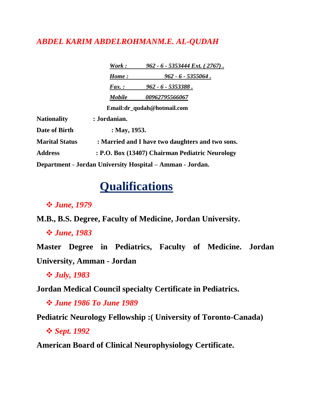### *ABDEL KARIM ABDELROHMANM.E. AL-QUDAH*

|                       | Work:                                            | $962 - 6 - 5353444 \text{ Ext.}$ (2767).                  |
|-----------------------|--------------------------------------------------|-----------------------------------------------------------|
|                       | Home:                                            | $962 - 6 - 5355064$ .                                     |
|                       | $\boldsymbol{F}$ ax.:                            | $962 - 6 - 5353388$ .                                     |
|                       | <b>Mobile</b>                                    | 00962795566067                                            |
|                       |                                                  | Email:dr_qudah@hotmail.com                                |
| <b>Nationality</b>    | : Jordanian.                                     |                                                           |
| Date of Birth         | : May, $1953$ .                                  |                                                           |
| <b>Marital Status</b> | : Married and I have two daughters and two sons. |                                                           |
| <b>Address</b>        | : P.O. Box (13407) Chairman Pediatric Neurology  |                                                           |
|                       |                                                  | Department - Jordan University Hospital – Amman - Jordan. |

## **Qualifications**

### *June, 1979*

**M.B., B.S. Degree, Faculty of Medicine, Jordan University.**

### *June, 1983*

**Master Degree in Pediatrics, Faculty of Medicine. Jordan University, Amman - Jordan**

*July, 1983*

**Jordan Medical Council specialty Certificate in Pediatrics.**

*June 1986 To June 1989*

**Pediatric Neurology Fellowship :( University of Toronto-Canada)**

*Sept. 1992*

**American Board of Clinical Neurophysiology Certificate.**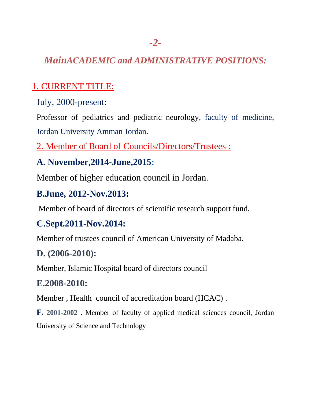## *MainACADEMIC and ADMINISTRATIVE POSITIONS:*

## 1. CURRENT TITLE:

July, 2000-present:

Professor of pediatrics and pediatric neurology, faculty of medicine, Jordan University Amman Jordan.

2. Member of Board of Councils/Directors/Trustees :

## **A. November,2014-June,2015:**

Member of higher education council in Jordan.

## **B.June, 2012-Nov.2013:**

Member of board of directors of scientific research support fund.

## **C.Sept.2011-Nov.2014:**

Member of trustees council of American University of Madaba.

### **D. (2006-2010):**

Member, Islamic Hospital board of directors council

### **E.2008-2010:**

Member , Health council of accreditation board (HCAC) .

**F. 2001-2002** . Member of faculty of applied medical sciences council, Jordan University of Science and Technology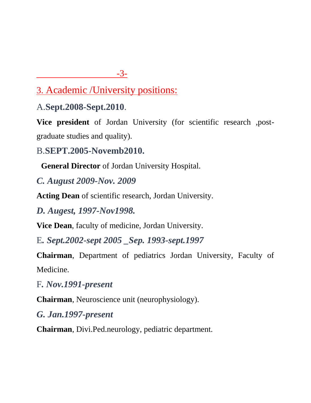### -3-

3. Academic /University positions:

A.**Sept.2008-Sept.2010**.

**Vice president** of Jordan University (for scientific research ,postgraduate studies and quality).

B.**SEPT.2005-Novemb2010.**

**General Director** of Jordan University Hospital.

*C. August 2009-Nov. 2009*

**Acting Dean** of scientific research, Jordan University.

*D. Augest, 1997-Nov1998.*

**Vice Dean**, faculty of medicine, Jordan University.

E*. Sept.2002-sept 2005 \_Sep. 1993-sept.1997* 

**Chairman**, Department of pediatrics Jordan University, Faculty of Medicine.

F*. Nov.1991-present*

**Chairman**, Neuroscience unit (neurophysiology).

*G. Jan.1997-present* 

**Chairman**, Divi.Ped.neurology, pediatric department.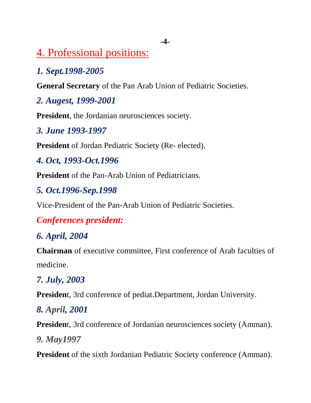## 4. Professional positions:

## *1. Sept.1998-2005*

**General Secretary** of the Pan Arab Union of Pediatric Societies.

## *2. Augest, 1999-2001*

**President**, the Jordanian neurosciences society.

### *3. June 1993-1997*

**President** of Jordan Pediatric Society (Re- elected).

## *4. Oct, 1993-Oct.1996*

**President** of the Pan-Arab Union of Pediatricians.

## *5. Oct.1996-Sep.1998*

Vice-President of the Pan-Arab Union of Pediatric Societies.

## *Conferences president:*

## *6. April, 2004*

**Chairman** of executive committee, First conference of Arab faculties of medicine.

## *7. July, 2003*

**Presiden**t, 3rd conference of pediat.Department, Jordan University.

## *8. April, 2001*

**Presiden**t, 3rd conference of Jordanian neurosciences society (Amman).

## *9. May1997*

**President** of the sixth Jordanian Pediatric Society conference (Amman).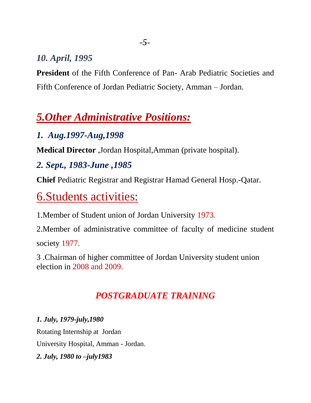## *10. April, 1995*

**President** of the Fifth Conference of Pan- Arab Pediatric Societies and Fifth Conference of Jordan Pediatric Society, Amman – Jordan.

## *5.Other Administrative Positions:*

## *1. Aug.1997-Aug,1998*

**Medical Director** ,Jordan Hospital,Amman (private hospital).

## *2. Sept., 1983-June ,1985*

**Chief** Pediatric Registrar and Registrar Hamad General Hosp.-Qatar.

# 6.Students activities:

1.Member of Student union of Jordan University 1973.

2.Member of administrative committee of faculty of medicine student

society 1977.

3 .Chairman of higher committee of Jordan University student union election in 2008 and 2009.

## *POSTGRADUATE TRAINING*

*1. July, 1979-july,1980* Rotating Internship at Jordan University Hospital, Amman - Jordan. *2. July, 1980 to –july1983*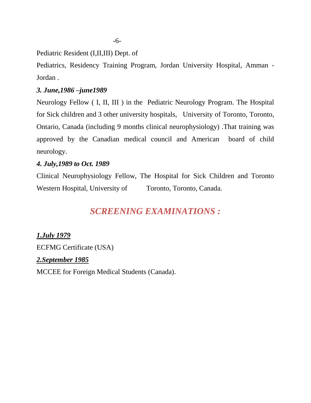Pediatric Resident (I,II,III) Dept. of

Pediatrics, Residency Training Program, Jordan University Hospital, Amman - Jordan .

### *3. June,1986 –june1989*

Neurology Fellow ( I, II, III ) in the Pediatric Neurology Program. The Hospital for Sick children and 3 other university hospitals, University of Toronto, Toronto, Ontario, Canada (including 9 months clinical neurophysiology) .That training was approved by the Canadian medical council and American board of child neurology.

### *4. July,1989 to Oct. 1989*

Clinical Neurophysiology Fellow, The Hospital for Sick Children and Toronto Western Hospital, University of Toronto, Toronto, Canada.

## *SCREENING EXAMINATIONS :*

### *1.July 1979*

ECFMG Certificate (USA)

#### *2.September 1985*

MCCEE for Foreign Medical Students (Canada).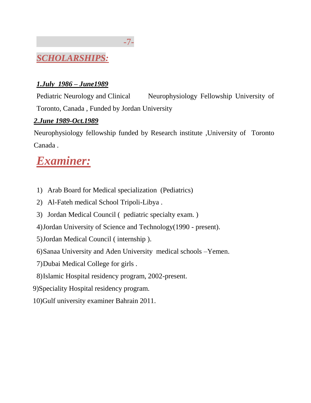

### *1.July 1986 – June1989*

Pediatric Neurology and Clinical Neurophysiology Fellowship University of Toronto, Canada , Funded by Jordan University

### *2.June 1989-Oct.1989*

Neurophysiology fellowship funded by Research institute ,University of Toronto Canada .

# *Examiner:*

- 1) Arab Board for Medical specialization (Pediatrics)
- 2) Al-Fateh medical School Tripoli-Libya .
- 3) Jordan Medical Council ( pediatric specialty exam. )
- 4)Jordan University of Science and Technology(1990 present).
- 5)Jordan Medical Council ( internship ).
- 6)Sanaa University and Aden University medical schools –Yemen.
- 7)Dubai Medical College for girls .
- 8)Islamic Hospital residency program, 2002-present.
- 9)Speciality Hospital residency program.
- 10)Gulf university examiner Bahrain 2011.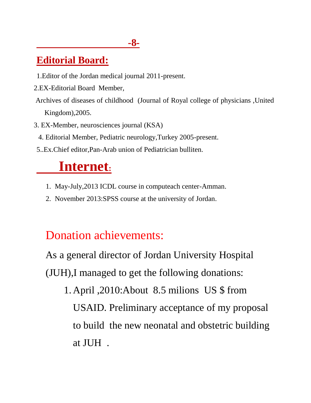## **-8-**

## **Editorial Board:**

- 1.Editor of the Jordan medical journal 2011-present.
- 2.EX-Editorial Board Member,
- Archives of diseases of childhood (Journal of Royal college of physicians ,United Kingdom),2005.
- 3. EX-Member, neurosciences journal (KSA)
	- 4. Editorial Member, Pediatric neurology,Turkey 2005-present.
- 5..Ex.Chief editor,Pan-Arab union of Pediatrician bulliten.

# **Internet:**

- 1. May-July,2013 ICDL course in computeach center-Amman.
- 2. November 2013:SPSS course at the university of Jordan.

# Donation achievements:

As a general director of Jordan University Hospital (JUH),I managed to get the following donations:

1. April ,2010:About 8.5 milions US \$ from USAID. Preliminary acceptance of my proposal to build the new neonatal and obstetric building at JUH .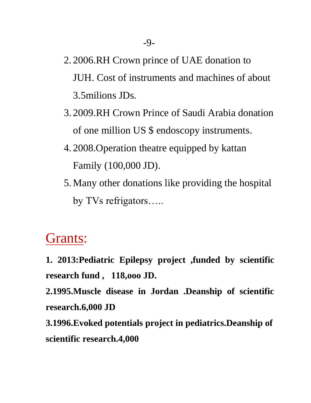- 2. 2006.RH Crown prince of UAE donation to JUH. Cost of instruments and machines of about 3.5milions JDs.
- 3. 2009.RH Crown Prince of Saudi Arabia donation of one million US \$ endoscopy instruments.
- 4. 2008.Operation theatre equipped by kattan Family (100,000 JD).
- 5.Many other donations like providing the hospital by TVs refrigators…..

# Grants:

**1. 2013:Pediatric Epilepsy project ,funded by scientific research fund , 118,ooo JD.**

**2.1995.Muscle disease in Jordan .Deanship of scientific research.6,000 JD**

**3.1996.Evoked potentials project in pediatrics.Deanship of scientific research.4,000**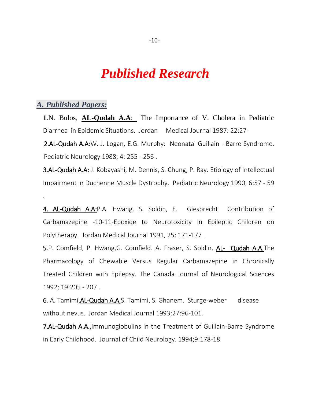## *Published Research*

#### *A. Published Papers:*

.

**1**.N. Bulos, **AL-Qudah A.A**: The Importance of V. Cholera in Pediatric Diarrhea in Epidemic Situations. Jordan Medical Journal 1987: 22:27-

2.AL-Qudah A.A:W. J. Logan, E.G. Murphy: Neonatal Guillain - Barre Syndrome. Pediatric Neurology 1988; 4: 255 - 256 .

3.AL-Qudah A.A: J. Kobayashi, M. Dennis, S. Chung, P. Ray. Etiology of Intellectual Impairment in Duchenne Muscle Dystrophy. Pediatric Neurology 1990, 6:57 - 59

4. AL-Qudah A.A:P.A. Hwang, S. Soldin, E. Giesbrecht Contribution of Carbamazepine -10-11-Epoxide to Neurotoxicity in Epileptic Children on Polytherapy. Jordan Medical Journal 1991, 25: 171-177 .

5.P. Comfield, P. Hwang,G. Comfield. A. Fraser, S. Soldin, AL- Qudah A.A.The Pharmacology of Chewable Versus Regular Carbamazepine in Chronically Treated Children with Epilepsy. The Canada Journal of Neurological Sciences 1992; 19:205 - 207 .

6. A. Tamimi, AL-Qudah A.A.S. Tamimi, S. Ghanem. Sturge-weber disease without nevus. Jordan Medical Journal 1993;27:96-101.

7.AL-Qudah A.A., Immunoglobulins in the Treatment of Guillain-Barre Syndrome in Early Childhood. Journal of Child Neurology. 1994;9:178-18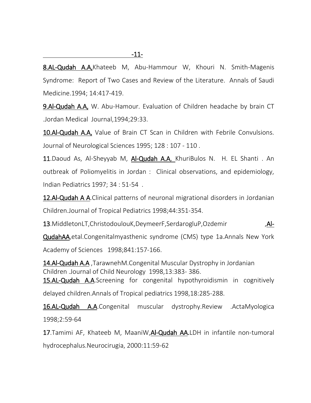8.AL-Qudah A.A, Khateeb M, Abu-Hammour W, Khouri N. Smith-Magenis Syndrome: Report of Two Cases and Review of the Literature. Annals of Saudi Medicine.1994; 14:417-419.

9.Al-Qudah A.A, W. Abu-Hamour. Evaluation of Children headache by brain CT .Jordan Medical Journal,1994;29:33.

10.Al-Qudah A.A, Value of Brain CT Scan in Children with Febrile Convulsions. Journal of Neurological Sciences 1995; 128 : 107 - 110 .

11.Daoud As, Al-Sheyyab M, Al-Qudah A.A, KhuriBulos N. H. EL Shanti. An outbreak of Poliomyelitis in Jordan : Clinical observations, and epidemiology, Indian Pediatrics 1997; 34 : 51-54 .

12.Al-Qudah A A.Clinical patterns of neuronal migrational disorders in Jordanian Children.Journal of Tropical Pediatrics 1998;44:351-354.

13. MiddletonLT, ChristodoulouK, Deymeer F, SerdarogluP, Ozdemir , Al-

QudahAA,etal.Congenitalmyasthenic syndrome (CMS) type 1a.Annals New York Academy of Sciences 1998;841:157-166.

14.Al-Qudah A.A ,TarawnehM.Congenital Muscular Dystrophy in Jordanian Children .Journal of Child Neurology 1998,13:383- 386.

15.AL-Qudah A.A.Screening for congenital hypothyroidismin in cognitively delayed children.Annals of Tropical pediatrics 1998,18:285-288.

16.AL-Qudah A.A.Congenital muscular dystrophy.Review .ActaMyologica 1998;2:59-64

17.Tamimi AF, Khateeb M, MaaniW, Al-Qudah AA.LDH in infantile non-tumoral hydrocephalus.Neurocirugia, 2000:11:59-62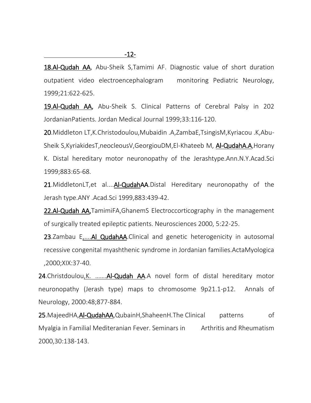18.Al-Qudah AA, Abu-Sheik S, Tamimi AF. Diagnostic value of short duration outpatient video electroencephalogram monitoring Pediatric Neurology, 1999;21:622-625.

19.Al-Qudah AA, Abu-Sheik S. Clinical Patterns of Cerebral Palsy in 202 JordanianPatients. Jordan Medical Journal 1999;33:116-120.

20.Middleton LT,K.Christodoulou,Mubaidin .A,ZambaE,TsingisM,Kyriacou .K,Abu-Sheik S,KyriakidesT,neocleousV,GeorgiouDM,El-Khateeb M, Al-QudahA.A,Horany K. Distal hereditary motor neuronopathy of the Jerashtype.Ann.N.Y.Acad.Sci

1999;883:65-68.

21. MiddletonLT, et al.... Al-QudahAA. Distal Hereditary neuronopathy of the Jerash type.ANY .Acad.Sci 1999,883:439-42.

22.Al-Qudah AA, TamimiFA, GhanemS Electroccorticography in the management of surgically treated epileptic patients. Neurosciences 2000, 5:22-25.

23.Zambau E,....AI QudahAA.Clinical and genetic heterogenicity in autosomal recessive congenital myashthenic syndrome in Jordanian families.ActaMyologica ,2000;XIX:37-40.

24.Christdoulou,K. …….Al-Qudah AA.A novel form of distal hereditary motor neuronopathy (Jerash type) maps to chromosome 9p21.1-p12. Annals of Neurology, 2000:48;877-884.

25.MajeedHA, Al-QudahAA, QubainH, ShaheenH. The Clinical patterns of Myalgia in Familial Mediteranian Fever. Seminars in Arthritis and Rheumatism 2000,30:138-143.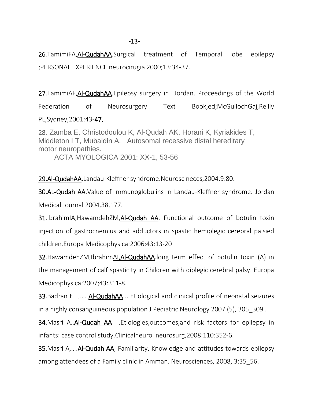### -13-

26.TamimiFA,Al-QudahAA.Surgical treatment of Temporal lobe epilepsy ;PERSONAL EXPERIENCE.neurocirugia 2000;13:34-37.

27.TamimiAF, Al-QudahAA. Epilepsy surgery in Jordan. Proceedings of the World Federation of Neurosurgery Text Book,ed;McGullochGaj,Reilly PL,Sydney,2001:43-47.

28. Zamba E, Christodoulou K, Al-Qudah AK, Horani K, Kyriakides T, Middleton LT, Mubaidin A. Autosomal recessive distal hereditary motor neuropathies. ACTA MYOLOGICA 2001: XX-1, 53-56

29.Al-QudahAA.Landau-Kleffner syndrome.Neuroscineces,2004,9:80.

30.AL-Qudah AA.Value of Immunoglobulins in Landau-Kleffner syndrome. Jordan Medical Journal 2004,38,177.

31.IbrahimIA,HawamdehZM,Al-Qudah AA. Functional outcome of botulin toxin injection of gastrocnemius and adductors in spastic hemiplegic cerebral palsied children.Europa Medicophysica:2006;43:13-20

**32.**HawamdehZM,IbrahimAI,AI-QudahAA.long term effect of botulin toxin (A) in the management of calf spasticity in Children with diplegic cerebral palsy. Europa Medicophysica:2007;43:311-8.

**33.**Badran EF ,.... **Al-QudahAA** .. Etiological and clinical profile of neonatal seizures in a highly consanguineous population J Pediatric Neurology 2007 (5), 305 309.

34.Masri A,.Al-Qudah AA .Etiologies,outcomes,and risk factors for epilepsy in infants: case control study.Clinicalneurol neurosurg,2008:110:352-6.

35.Masri A,….Al-Qudah AA, Familiarity, Knowledge and attitudes towards epilepsy among attendees of a Family clinic in Amman. Neurosciences, 2008, 3:35\_56.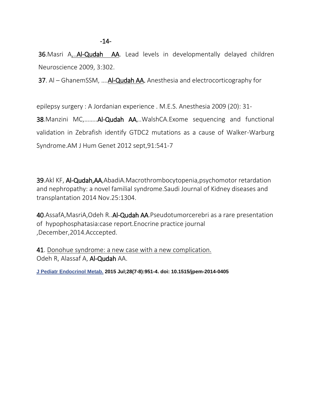-14-

36. Masri A,.. Al-Qudah AA. Lead levels in developmentally delayed children Neuroscience 2009, 3:302.

37. Al – GhanemSSM, ….Al-Qudah AA. Anesthesia and electrocorticography for

epilepsy surgery : A Jordanian experience . M.E.S. Anesthesia 2009 (20): 31- 38.Manzini MC,……..Al-Qudah AA,..WalshCA.Exome sequencing and functional validation in Zebrafish identify GTDC2 mutations as a cause of Walker-Warburg Syndrome.AM J Hum Genet 2012 sept,91:541-7

39.Akl KF, Al-Qudah,AA,AbadiA.Macrothrombocytopenia,psychomotor retardation and nephropathy: a novel familial syndrome.Saudi Journal of Kidney diseases and transplantation 2014 Nov.25:1304.

40.AssafA,MasriA,Odeh R..Al-Qudah AA.Pseudotumorcerebri as a rare presentation of hypophosphatasia:case report.Enocrine practice journal ,December,2014.Acccepted.

41. [Donohue syndrome: a new case with a new complication.](http://www.ncbi.nlm.nih.gov/pubmed/25741786) Odeh R, Alassaf A, Al-Qudah AA.

**[J Pediatr Endocrinol Metab.](http://www.ncbi.nlm.nih.gov/pubmed/25741786) 2015 Jul;28(7-8):951-4. doi: 10.1515/jpem-2014-0405**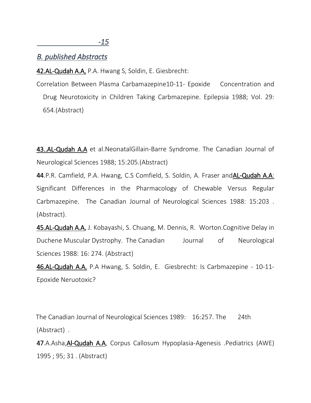*-15* 

### *B. published Abstracts*

42.AL-Qudah A.A, P.A. Hwang S, Soldin, E. Giesbrecht:

Correlation Between Plasma Carbamazepine10-11- Epoxide Concentration and Drug Neurotoxicity in Children Taking Carbmazepine. Epilepsia 1988; Vol. 29: 654.(Abstract)

43..AL-Qudah A.A et al. Neonatal Gillain-Barre Syndrome. The Canadian Journal of Neurological Sciences 1988; 15:205.(Abstract)

44.P.R. Camfield, P.A. Hwang, C.S Comfield, S. Soldin, A. Fraser andAL-Qudah A.A: Significant Differences in the Pharmacology of Chewable Versus Regular Carbmazepine. The Canadian Journal of Neurological Sciences 1988: 15:203 . (Abstract).

45.AL-Qudah A.A, J. Kobayashi, S. Chuang, M. Dennis, R. Worton.Cognitive Delay in Duchene Muscular Dystrophy. The Canadian Journal of Neurological Sciences 1988: 16: 274. (Abstract)

46.AL-Qudah A.A, P.A Hwang, S. Soldin, E. Giesbrecht: Is Carbmazepine - 10-11- Epoxide Neruotoxic?

 The Canadian Journal of Neurological Sciences 1989: 16:257. The 24th (Abstract) .

47.A.Asha,Al-Qudah A.A, Corpus Callosum Hypoplasia-Agenesis .Pediatrics (AWE) 1995 ; 95; 31 . (Abstract)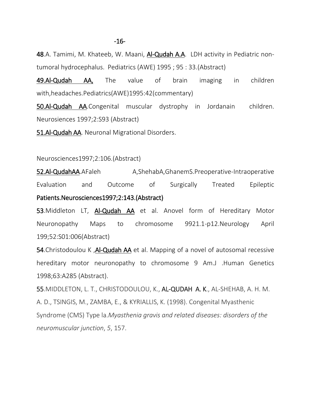48.A. Tamimi, M. Khateeb, W. Maani, Al-Qudah A.A. LDH activity in Pediatric nontumoral hydrocephalus. Pediatrics (AWE) 1995 ; 95 : 33.(Abstract)

49.Al-Qudah AA, The value of brain imaging in children with,headaches.Pediatrics(AWE)1995:42(commentary)

50.Al-Qudah AA.Congenital muscular dystrophy in Jordanain children. Neurosiences 1997;2:S93 (Abstract)

51.Al-Qudah AA. Neuronal Migrational Disorders.

#### Neurosciences1997;2:106.(Abstract)

52.Al-QudahAA.AFaleh A,ShehabA,GhanemS.Preoperative-Intraoperative Evaluation and Outcome of Surgically Treated Epileptic Patients.Neurosciences1997;2:143.(Abstract)

53.Middleton LT, Al-Qudah AA et al. Anovel form of Hereditary Motor Neuronopathy Maps to chromosome 9921.1-p12.Neurology April 199;52:S01:006(Abstract)

54.Christodoulou K, Al-Qudah AA et al. Mapping of a novel of autosomal recessive hereditary motor neuronopathy to chromosome 9 Am.J .Human Genetics 1998;63:A285 (Abstract).

55.MIDDLETON, L. T., CHRISTODOULOU, K., AL-QUDAH A. K., AL-SHEHAB, A. H. M. A. D., TSINGIS, M., ZAMBA, E., & KYRIALLIS, K. (1998). Congenital Myasthenic Syndrome (CMS) Type la.*Myasthenia gravis and related diseases: disorders of the neuromuscular junction*, *5*, 157.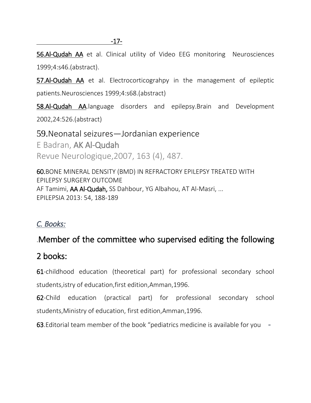56.Al-Qudah AA et al. Clinical utility of Video EEG monitoring Neurosciences 1999;4:s46.(abstract).

57.Al-Oudah AA et al. Electrocorticograhpy in the management of epileptic patients.Neurosciences 1999;4:s68.(abstract)

58.Al-Qudah AA.language disorders and epilepsy.Brain and Development 2002,24:526.(abstract)

59.Neonatal seizures—[Jordanian experience](http://scholar.google.com/citations?view_op=view_citation&hl=en&user=C-7fjhkAAAAJ&cstart=20&citation_for_view=C-7fjhkAAAAJ:hqOjcs7Dif8C) E Badran, AK Al-Qudah Revue Neurologique,2007, 163 (4), 487.

60[.BONE MINERAL DENSITY \(BMD\) IN REFRACTORY EPILEPSY TREATED WITH](http://scholar.google.com/citations?view_op=view_citation&hl=en&user=C-7fjhkAAAAJ&cstart=20&citation_for_view=C-7fjhkAAAAJ:qxL8FJ1GzNcC)  [EPILEPSY SURGERY OUTCOME](http://scholar.google.com/citations?view_op=view_citation&hl=en&user=C-7fjhkAAAAJ&cstart=20&citation_for_view=C-7fjhkAAAAJ:qxL8FJ1GzNcC) AF Tamimi, AA Al-Qudah, SS Dahbour, YG Albahou, AT Al-Masri, ... EPILEPSIA 2013: 54, 188-189

### *C. Books:*

## .Member of the committee who supervised editing the following

## 2 books:

61-childhood education (theoretical part) for professional secondary school students,istry of education,first edition,Amman,1996.

62-Child education (practical part) for professional secondary school students,Ministry of education, first edition,Amman,1996.

63.Editorial team member of the book "pediatrics medicine is available for you *-*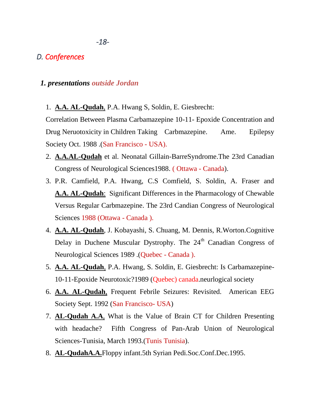### *D. Conferences*

### *1. presentations outside Jordan*

1. **A.A. AL-Qudah**, P.A. Hwang S, Soldin, E. Giesbrecht:

Correlation Between Plasma Carbamazepine 10-11- Epoxide Concentration and Drug Neruotoxicity in Children Taking Carbmazepine. Ame. Epilepsy Society Oct. 1988 .(San Francisco - USA).

- 2. **A.A.AL-Qudah** et al. Neonatal Gillain-BarreSyndrome.The 23rd Canadian Congress of Neurological Sciences1988. ( Ottawa - Canada).
- 3. P.R. Camfield, P.A. Hwang, C.S Comfield, S. Soldin, A. Fraser and **A.A. AL-Qudah**: Significant Differences in the Pharmacology of Chewable Versus Regular Carbmazepine. The 23rd Candian Congress of Neurological Sciences 1988 (Ottawa - Canada ).
- 4. **A.A. AL-Qudah**, J. Kobayashi, S. Chuang, M. Dennis, R.Worton.Cognitive Delay in Duchene Muscular Dystrophy. The 24<sup>th</sup> Canadian Congress of Neurological Sciences 1989 .(Quebec - Canada ).
- 5. **A.A. AL-Qudah**, P.A. Hwang, S. Soldin, E. Giesbrecht: Is Carbamazepine-10-11-Epoxide Neurotoxic?1989 (Quebec) canada.neurlogical society
- 6. **A.A. AL-Qudah**, Frequent Febrile Seizures: Revisited. American EEG Society Sept. 1992 (San Francisco- USA)
- 7. **AL-Qudah A.A**, What is the Value of Brain CT for Children Presenting with headache? Fifth Congress of Pan-Arab Union of Neurological Sciences-Tunisia, March 1993.(Tunis Tunisia).
- 8. **AL-QudahA.A.**Floppy infant.5th Syrian Pedi.Soc.Conf.Dec.1995.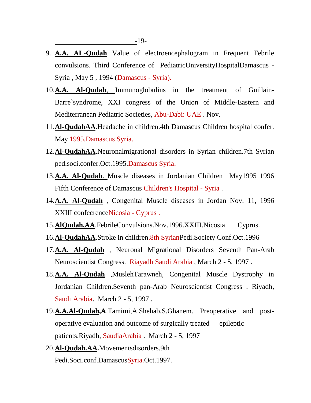- 9. **A.A. AL-Qudah** Value of electroencephalogram in Frequent Febrile convulsions. Third Conference of PediatricUniversityHospitalDamascus - Syria , May 5 , 1994 (Damascus - Syria).
- 10.**A.A. Al-Qudah**, Immunoglobulins in the treatment of Guillain-Barre`syndrome, XXI congress of the Union of Middle-Eastern and Mediterranean Pediatric Societies, Abu-Dabi: UAE . Nov.
- 11.**Al-QudahAA**.Headache in children.4th Damascus Children hospital confer. May 1995.Damascus Syria.
- 12.**Al-QudahAA**.Neuronalmigrational disorders in Syrian children.7th Syrian ped.soci.confer.Oct.1995.Damascus Syria.
- 13.**A.A. Al-Qudah**. Muscle diseases in Jordanian Children May1995 1996 Fifth Conference of Damascus Children's Hospital - Syria .
- 14.**A.A. Al-Qudah** , Congenital Muscle diseases in Jordan Nov. 11, 1996 XXIII confecrenceNicosia - Cyprus .
- 15.**AlQudah,AA**.FebrileConvulsions.Nov.1996.XXIII.Nicosia Cyprus.
- 16.**Al-QudahAA**.Stroke in children.8th SyrianPedi.Society Conf.Oct.1996
- 17.**A.A. Al-Qudah** , Neuronal Migrational Disorders Seventh Pan-Arab Neuroscientist Congress. Riayadh Saudi Arabia , March 2 - 5, 1997 .
- 18.**A.A. Al-Qudah** ,MuslehTarawneh, Congenital Muscle Dystrophy in Jordanian Children.Seventh pan-Arab Neuroscientist Congress . Riyadh, Saudi Arabia. March 2 - 5, 1997 .
- 19.**A.A.Al-Qudah,A**.Tamimi,A.Shehab,S.Ghanem. Preoperative and postoperative evaluation and outcome of surgically treated epileptic patients.Riyadh, SaudiaArabia . March 2 - 5, 1997
- 20.**Al-Qudah.AA.**Movementsdisorders.9th Pedi.Soci.conf.DamascusSyria.Oct.1997.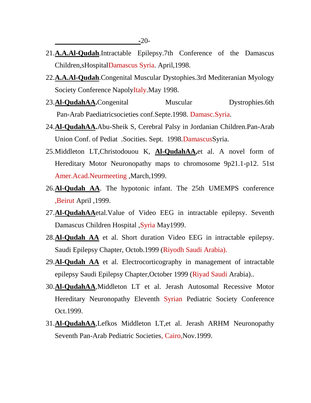- 21.**A.A.Al-Qudah**.Intractable Epilepsy.7th Conference of the Damascus Children,sHospitalDamascus Syria. April,1998.
- 22.**A.A.Al-Qudah**.Congenital Muscular Dystophies.3rd Mediteranian Myology Society Conference NapolyItaly.May 1998.
- 23.**Al-QudahAA.**Congenital Muscular Dystrophies.6th Pan-Arab Paediatricsocieties conf.Septe.1998. Damasc.Syria.
- 24.**Al-QudahAA.**Abu-Sheik S, Cerebral Palsy in Jordanian Children.Pan-Arab Union Conf. of Pediat .Socities. Sept. 1998.DamascusSyria.
- 25.Middleton LT,Christodouou K, **Al-QudahAA,**et al. A novel form of Hereditary Motor Neuronopathy maps to chromosome 9p21.1-p12. 51st Amer.Acad.Neurmeeting ,March,1999.
- 26.**Al-Qudah AA**. The hypotonic infant. The 25th UMEMPS conference ,Beirut April ,1999.
- 27.**Al-QudahAA**etal.Value of Video EEG in intractable epilepsy. Seventh Damascus Children Hospital , Syria May1999.
- 28.**Al-Qudah AA** et al. Short duration Video EEG in intractable epilepsy. Saudi Epilepsy Chapter, Octob.1999 (Riyodh Saudi Arabia).
- 29.**Al-Qudah AA** et al. Electrocorticography in management of intractable epilepsy Saudi Epilepsy Chapter,October 1999 (Riyad Saudi Arabia)..
- 30.**Al-QudahAA**,Middleton LT et al. Jerash Autosomal Recessive Motor Hereditary Neuronopathy Eleventh Syrian Pediatric Society Conference Oct.1999.
- 31.**Al-QudahAA**,Lefkos Middleton LT,et al. Jerash ARHM Neuronopathy Seventh Pan-Arab Pediatric Societies, Cairo,Nov.1999.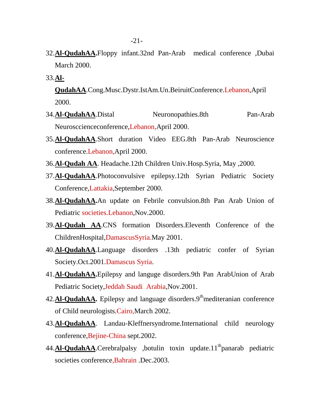- 32.**Al-QudahAA.**Floppy infant.32nd Pan-Arab medical conference ,Dubai March 2000.
- 33.**Al-**

**QudahAA**.Cong.Musc.Dystr.IstAm.Un.BeiruitConference.Lebanon,April 2000.

- 34.**Al-QudahAA**.Distal Neuronopathies.8th Pan-Arab Neurosccienceconference,Lebanon,April 2000.
- 35.**Al-QudahAA**.Short duration Video EEG.8th Pan-Arab Neuroscience conference.Lebanon,April 2000.
- 36.**Al-Qudah AA**. Headache.12th Children Univ.Hosp.Syria, May ,2000.
- 37.**Al-QudahAA**.Photoconvulsive epilepsy.12th Syrian Pediatric Society Conference,Lattakia,September 2000.
- 38.**Al-QudahAA.**An update on Febrile convulsion.8th Pan Arab Union of Pediatric societies.Lebanon,Nov.2000.
- 39.**Al-Qudah AA**.CNS formation Disorders.Eleventh Conference of the ChildrenHospital,DamascusSyria.May 2001.
- 40.**Al-QudahAA**.Language disorders .13th pediatric confer of Syrian Society.Oct.2001.Damascus Syria.
- 41.**Al-QudahAA.**Epilepsy and languge disorders.9th Pan ArabUnion of Arab Pediatric Society,Jeddah Saudi Arabia,Nov.2001.
- 42.**Al-QudahAA**. Epilepsy and language disorders.9<sup>th</sup>mediteranian conference of Child neurologists.Cairo,March 2002.
- 43.**Al-QudahAA**. Landau-Kleffnersyndrome.International child neurology conference,Bejine-China sept.2002.
- 44.**Al-QudahAA**.Cerebralpalsy ,botulin toxin update.11<sup>th</sup>panarab pediatric societies conference,Bahrain .Dec.2003.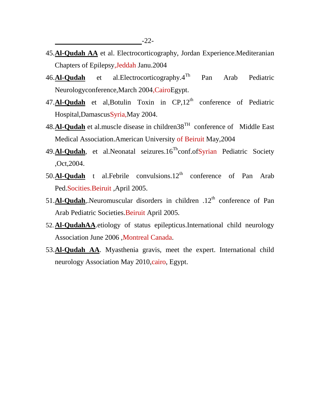- 45.**Al-Qudah AA** et al. Electrocorticography, Jordan Experience.Mediteranian Chapters of Epilepsy,Jeddah Janu.2004
- 46.**Al-Qudah** et al.Electrocorticography.4Th Pan Arab Pediatric Neurologyconference,March 2004,CairoEgypt.
- 47. Al-Qudah et al, Botulin Toxin in CP, 12<sup>th</sup> conference of Pediatric Hospital,DamascusSyria,May 2004.
- 48.**Al-Qudah** et al.muscle disease in children38TH conference of Middle East Medical Association.American University of Beiruit May,2004
- 49.**Al-Qudah**, et al.Neonatal seizures.16<sup>Th</sup>conf.ofSyrian Pediatric Society ,Oct,2004.
- 50.**Al-Qudah** t al.Febrile convulsions.12<sup>th</sup> conference of Pan Arab Ped.Socities.Beiruit ,April 2005.
- 51. $Al$ -Qudah,.Neuromuscular disorders in children  $.12<sup>th</sup>$  conference of Pan Arab Pediatric Societies.Beiruit April 2005.
- 52.**Al-QudahAA**.etiology of status epilepticus.International child neurology Association June 2006 ,Montreal Canada.
- 53.**Al-Qudah AA**. Myasthenia gravis, meet the expert. International child neurology Association May 2010, cairo, Egypt.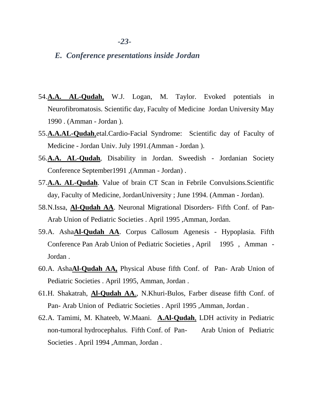#### *E. Conference presentations inside Jordan*

- 54.**A.A. AL-Qudah**, W.J. Logan, M. Taylor. Evoked potentials in Neurofibromatosis. Scientific day, Faculty of Medicine Jordan University May 1990 . (Amman - Jordan ).
- 55.**A.A.AL-Qudah**,etal.Cardio-Facial Syndrome: Scientific day of Faculty of Medicine - Jordan Univ. July 1991.(Amman - Jordan ).
- 56.**A.A. AL-Qudah**, Disability in Jordan. Sweedish Jordanian Society Conference September1991 ,(Amman - Jordan) .
- 57.**A.A. AL-Qudah**. Value of brain CT Scan in Febrile Convulsions.Scientific day, Faculty of Medicine, JordanUniversity ; June 1994. (Amman - Jordan).
- 58.N.Issa, **Al-Qudah AA**. Neuronal Migrational Disorders- Fifth Conf. of Pan-Arab Union of Pediatric Societies . April 1995 ,Amman, Jordan.
- 59.A. Asha**Al-Qudah AA**. Corpus Callosum Agenesis Hypoplasia. Fifth Conference Pan Arab Union of Pediatric Societies , April 1995 , Amman - Jordan .
- 60.A. Asha**Al-Qudah AA,** Physical Abuse fifth Conf. of Pan- Arab Union of Pediatric Societies . April 1995, Amman, Jordan .
- 61.H. Shakatrah, **Al-Qudah AA**., N.Khuri-Bulos, Farber disease fifth Conf. of Pan- Arab Union of Pediatric Societies . April 1995 ,Amman, Jordan .
- 62.A. Tamimi, M. Khateeb, W.Maani. **A.Al-Qudah**, LDH activity in Pediatric non-tumoral hydrocephalus. Fifth Conf. of Pan- Arab Union of Pediatric Societies . April 1994 ,Amman, Jordan .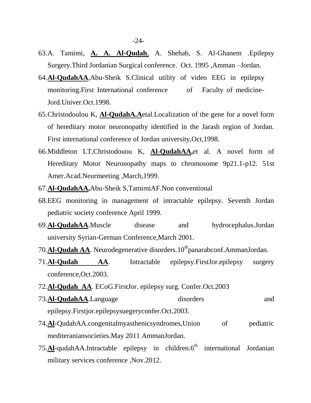- 63.A. Tamimi, **A. A. Al-Qudah**, A. Shehab, S. Al-Ghanem .Epilepsy Surgery.Third Jordanian Surgical conference. Oct. 1995 ,Amman –Jordan.
- 64.**Al-QudahAA**,Abu-Sheik S.Clinical utility of video EEG in epilepsy monitoring.First International conference of Faculty of medicine-Jord.Univer.Oct.1998.
- 65.Christodoulou K, **Al-QudahA.A**etal.Localization of the gene for a novel form of hereditary motor neuronopathy identified in the Jarash region of Jordan. First international conference of Jordan university,Oct,1998.
- 66.Middleton LT,Christodouou K, **Al-QudahAA,**et al. A novel form of Hereditary Motor Neuronopathy maps to chromosome 9p21.1-p12. 51st Amer.Acad.Neurmeeting ,March,1999.
- 67.**Al-QudahAA,**Abu-Sheik S,TamimiAF.Non conventional
- 68.EEG monitoring in management of intractable epilepsy. Seventh Jordan pediatric society conference April 1999.
- 69.**Al-QudahAA**.Muscle disease and hydrocephalus.Jordan university Syrian-German Conference,March 2001.
- 70. Al-**Qudah AA**. Neurodegenerative disorders. 10<sup>th</sup>panarabconf. AmmanJordan.
- 71.**Al-Qudah AA**. Intractable epilepsy.FirstJor.epilepsy surgery conference,Oct.2003.
- 72.**Al-Qudah AA**. ECoG.FirstJor. epilepsy surg. Confer.Oct.2003
- 73.**Al-QudahAA**.Language disorders and epilepsy.Firstjor.epilepsysuegeryconfer.Oct.2003.
- 74.**Al**-QudahAA.congenitalmyasthenicsyndromes,Union of pediatric mediteraniansocieties.May 2011 AmmanJordan.
- 75.**Al**-qudahAA.Intractable epilepsy in children.6<sup>th</sup> international Jordanian military services conference ,Nov.2012.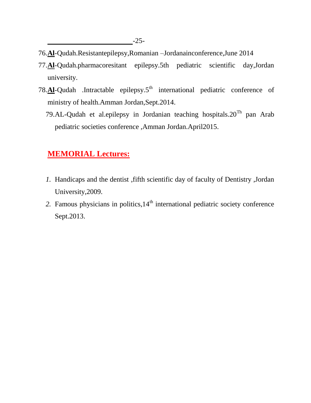- 76.**Al**-Qudah.Resistantepilepsy,Romanian –Jordanainconference,June 2014
- 77.**Al**-Qudah.pharmacoresitant epilepsy.5th pediatric scientific day,Jordan university.
- 78.**Al**-Qudah .Intractable epilepsy.5<sup>th</sup> international pediatric conference of ministry of health.Amman Jordan,Sept.2014.
	- 79.AL-Qudah et al.epilepsy in Jordanian teaching hospitals. $20^{Th}$  pan Arab pediatric societies conference ,Amman Jordan.April2015.

### **MEMORIAL Lectures:**

- *1.* Handicaps and the dentist ,fifth scientific day of faculty of Dentistry ,Jordan University,2009.
- 2. Famous physicians in politics, 14<sup>th</sup> international pediatric society conference Sept.2013.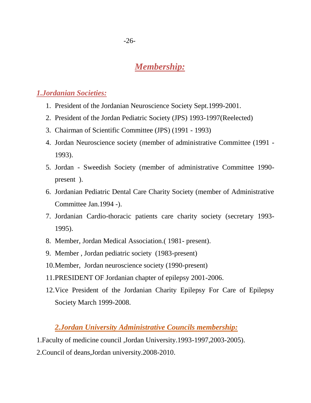## *Membership:*

### *1.Jordanian Societies:*

- 1. President of the Jordanian Neuroscience Society Sept.1999-2001.
- 2. President of the Jordan Pediatric Society (JPS) 1993-1997(Reelected)
- 3. Chairman of Scientific Committee (JPS) (1991 1993)
- 4. Jordan Neuroscience society (member of administrative Committee (1991 1993).
- 5. Jordan Sweedish Society (member of administrative Committee 1990 present ).
- 6. Jordanian Pediatric Dental Care Charity Society (member of Administrative Committee Jan.1994 -).
- 7. Jordanian Cardio-thoracic patients care charity society (secretary 1993- 1995).
- 8. Member, Jordan Medical Association.( 1981- present).
- 9. Member , Jordan pediatric society (1983-present)
- 10.Member, Jordan neuroscience society (1990-present)
- 11.PRESIDENT OF Jordanian chapter of epilepsy 2001-2006.
- 12.Vice President of the Jordanian Charity Epilepsy For Care of Epilepsy Society March 1999-2008.

### *2.Jordan University Administrative Councils membership:*

1.Faculty of medicine council ,Jordan University.1993-1997,2003-2005).

2.Council of deans,Jordan university.2008-2010.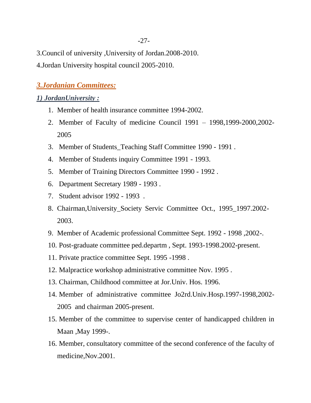3.Council of university ,University of Jordan.2008-2010.

4.Jordan University hospital council 2005-2010.

### *3.Jordanian Committees:*

### *1) JordanUniversity :*

- 1. Member of health insurance committee 1994-2002.
- 2. Member of Faculty of medicine Council 1991 1998,1999-2000,2002- 2005
- 3. Member of Students\_Teaching Staff Committee 1990 1991 .
- 4. Member of Students inquiry Committee 1991 1993.
- 5. Member of Training Directors Committee 1990 1992 .
- 6. Department Secretary 1989 1993 .
- 7. Student advisor 1992 1993 .
- 8. Chairman,University\_Society Servic Committee Oct., 1995\_1997.2002- 2003.
- 9. Member of Academic professional Committee Sept. 1992 1998 ,2002-.
- 10. Post-graduate committee ped.departm , Sept. 1993-1998.2002-present.
- 11. Private practice committee Sept. 1995 -1998 .
- 12. Malpractice workshop administrative committee Nov. 1995 .
- 13. Chairman, Childhood committee at Jor.Univ. Hos. 1996.
- 14. Member of administrative committee Jo2rd.Univ.Hosp.1997-1998,2002- 2005 and chairman 2005-present.
- 15. Member of the committee to supervise center of handicapped children in Maan ,May 1999-.
- 16. Member, consultatory committee of the second conference of the faculty of medicine,Nov.2001.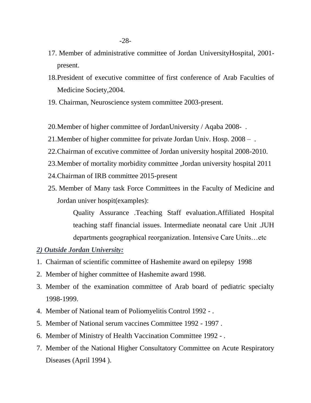- 17. Member of administrative committee of Jordan UniversityHospital, 2001 present.
- 18.President of executive committee of first conference of Arab Faculties of Medicine Society,2004.
- 19. Chairman, Neuroscience system committee 2003-present.
- 20.Member of higher committee of JordanUniversity / Aqaba 2008- .
- 21.Member of higher committee for private Jordan Univ. Hosp. 2008 .
- 22.Chairman of excutive committee of Jordan university hospital 2008-2010.
- 23.Member of mortality morbidity committee ,Jordan university hospital 2011
- 24.Chairman of IRB committee 2015-present
- 25. Member of Many task Force Committees in the Faculty of Medicine and Jordan univer hospit(examples):

Quality Assurance .Teaching Staff evaluation.Affiliated Hospital teaching staff financial issues. Intermediate neonatal care Unit .JUH departments geographical reorganization. Intensive Care Units…etc

### *2) Outside Jordan University:*

- 1. Chairman of scientific committee of Hashemite award on epilepsy 1998
- 2. Member of higher committee of Hashemite award 1998.
- 3. Member of the examination committee of Arab board of pediatric specialty 1998-1999.
- 4. Member of National team of Poliomyelitis Control 1992 .
- 5. Member of National serum vaccines Committee 1992 1997 .
- 6. Member of Ministry of Health Vaccination Committee 1992 .
- 7. Member of the National Higher Consultatory Committee on Acute Respiratory Diseases (April 1994 ).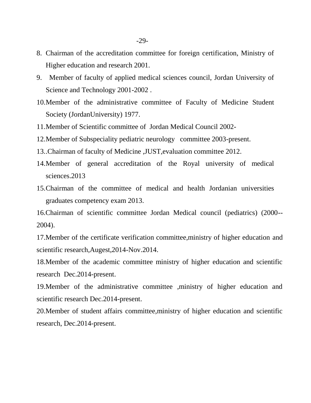- 8. Chairman of the accreditation committee for foreign certification, Ministry of Higher education and research 2001.
- 9. Member of faculty of applied medical sciences council, Jordan University of Science and Technology 2001-2002 .
- 10.Member of the administrative committee of Faculty of Medicine Student Society (JordanUniversity) 1977.
- 11.Member of Scientific committee of Jordan Medical Council 2002-
- 12.Member of Subspeciality pediatric neurology committee 2003-present.
- 13..Chairman of faculty of Medicine ,JUST,evaluation committee 2012.
- 14.Member of general accreditation of the Royal university of medical sciences.2013
- 15.Chairman of the committee of medical and health Jordanian universities graduates competency exam 2013.

16.Chairman of scientific committee Jordan Medical council (pediatrics) (2000-- 2004).

17.Member of the certificate verification committee,ministry of higher education and scientific research,Augest,2014-Nov.2014.

18.Member of the academic committee ministry of higher education and scientific research Dec.2014-present.

19.Member of the administrative committee ,ministry of higher education and scientific research Dec.2014-present.

20.Member of student affairs committee,ministry of higher education and scientific research, Dec.2014-present.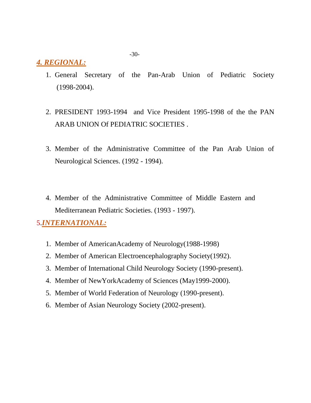### *4. REGIONAL:*

- 1. General Secretary of the Pan-Arab Union of Pediatric Society (1998-2004).
- 2. PRESIDENT 1993-1994 and Vice President 1995-1998 of the the PAN ARAB UNION Of PEDIATRIC SOCIETIES .
- 3. Member of the Administrative Committee of the Pan Arab Union of Neurological Sciences. (1992 - 1994).
- 4. Member of the Administrative Committee of Middle Eastern and Mediterranean Pediatric Societies. (1993 - 1997).

### 5.*INTERNATIONAL:*

- 1. Member of AmericanAcademy of Neurology(1988-1998)
- 2. Member of American Electroencephalography Society(1992).
- 3. Member of International Child Neurology Society (1990-present).
- 4. Member of NewYorkAcademy of Sciences (May1999-2000).
- 5. Member of World Federation of Neurology (1990-present).
- 6. Member of Asian Neurology Society (2002-present).

-30-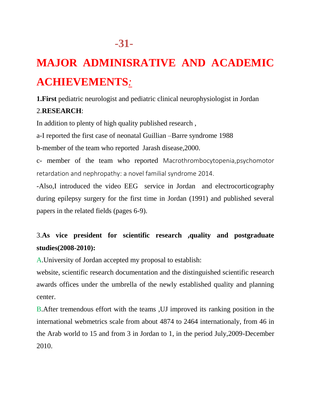# **MAJOR ADMINISRATIVE AND ACADEMIC ACHIEVEMENTS***:*

**1.First** pediatric neurologist and pediatric clinical neurophysiologist in Jordan

### 2.**RESEARCH**:

In addition to plenty of high quality published research ,

a-I reported the first case of neonatal Guillian –Barre syndrome 1988

b-member of the team who reported Jarash disease,2000.

c- member of the team who reported Macrothrombocytopenia,psychomotor retardation and nephropathy: a novel familial syndrome 2014.

-Also,I introduced the video EEG service in Jordan and electrocorticography during epilepsy surgery for the first time in Jordan (1991) and published several papers in the related fields (pages 6-9).

## 3.**As vice president for scientific research ,quality and postgraduate studies(2008-2010):**

A.University of Jordan accepted my proposal to establish:

website, scientific research documentation and the distinguished scientific research awards offices under the umbrella of the newly established quality and planning center.

B.After tremendous effort with the teams ,UJ improved its ranking position in the international webmetrics scale from about 4874 to 2464 internationaly, from 46 in the Arab world to 15 and from 3 in Jordan to 1, in the period July,2009-December 2010.